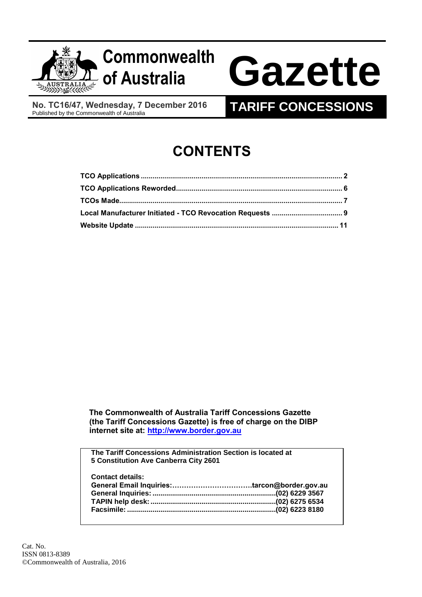

**No. TC16/47, Wednesday, 7 December 2016**

# **TARIFF CONCESSIONS**

# **CONTENTS**

 **The Commonwealth of Australia Tariff Concessions Gazette (the Tariff Concessions Gazette) is free of charge on the DIBP internet site at: [http://www.border.gov.au](http://www.border.gov.au/)**

**The Tariff Concessions Administration Section is located at 5 Constitution Ave Canberra City 2601 Contact details: General Email Inquiries:…………………………….tarcon@border.gov.au General Inquiries: ...............................................................(02) 6229 3567 TAPIN help desk:................................................................(02) 6275 6534 Facsimile: ............................................................................(02) 6223 8180**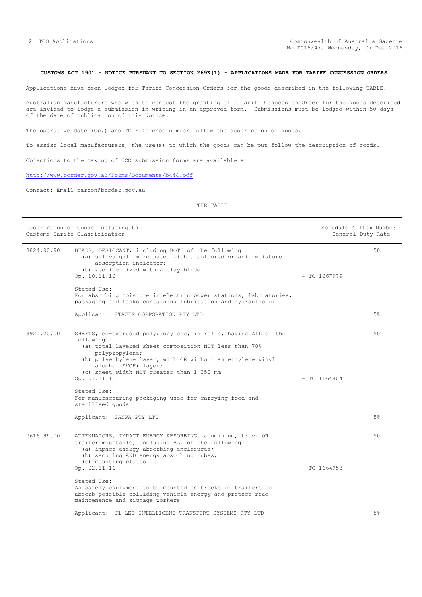#### <span id="page-1-0"></span>**CUSTOMS ACT 1901 - NOTICE PURSUANT TO SECTION 269K(1) - APPLICATIONS MADE FOR TARIFF CONCESSION ORDERS**

Applications have been lodged for Tariff Concession Orders for the goods described in the following TABLE.

Australian manufacturers who wish to contest the granting of a Tariff Concession Order for the goods described are invited to lodge a submission in writing in an approved form. Submissions must be lodged within 50 days of the date of publication of this Notice.

The operative date (Op.) and TC reference number follow the description of goods.

To assist local manufacturers, the use(s) to which the goods can be put follow the description of goods.

Objections to the making of TCO submission forms are available at

<http://www.border.gov.au/Forms/Documents/b444.pdf>

Contact: Email tarcon@border.gov.au

#### THE TABLE

|            | Description of Goods including the<br>Customs Tariff Classification                                                                                                                                                                                                                                       | Schedule 4 Item Number | General Duty Rate |
|------------|-----------------------------------------------------------------------------------------------------------------------------------------------------------------------------------------------------------------------------------------------------------------------------------------------------------|------------------------|-------------------|
| 3824.90.90 | BEADS, DESICCANT, including BOTH of the following:<br>(a) silica gel impregnated with a coloured organic moisture<br>absorption indicator;<br>(b) zeolite mixed with a clay binder<br>Op. 10.11.16                                                                                                        | $-$ TC 1667979         | 50                |
|            | Stated Use:<br>For absorbing moisture in electric power stations, laboratories,<br>packaging and tanks containing lubrication and hydraulic oil                                                                                                                                                           |                        |                   |
|            | Applicant: STAUFF CORPORATION PTY LTD                                                                                                                                                                                                                                                                     |                        | 5%                |
| 3920.20.00 | SHEETS, co-extruded polypropylene, in rolls, having ALL of the<br>following:<br>(a) total layered sheet composition NOT less than 70%<br>polypropylene;<br>(b) polyethylene layer, with OR without an ethylene vinyl<br>alcohol(EVOH) layer;<br>(c) sheet width NOT greater than 1 250 mm<br>Op. 01.11.16 | $-$ TC 1664804         | 50                |
|            | Stated Use:<br>For manufacturing packaging used for carrying food and<br>sterilised goods                                                                                                                                                                                                                 |                        |                   |
|            | Applicant: SANWA PTY LTD                                                                                                                                                                                                                                                                                  |                        | 5%                |
| 7616.99.00 | ATTENUATORS, IMPACT ENERGY ABSORBING, aluminium, truck OR<br>trailer mountable, including ALL of the following:<br>(a) impact energy absorbing enclosures;<br>(b) securing AND energy absorbing tubes;<br>(c) mounting plates                                                                             |                        | 50                |
|            | Op. 02.11.16                                                                                                                                                                                                                                                                                              | $-$ TC 1664958         |                   |
|            | Stated Use:<br>As safely equipment to be mounted on trucks or trailers to<br>absorb possible colliding vehicle energy and protect road<br>maintenance and signage workers                                                                                                                                 |                        |                   |
|            | Applicant: J1-LED INTELLIGENT TRANSPORT SYSTEMS PTY LTD                                                                                                                                                                                                                                                   |                        | 5%                |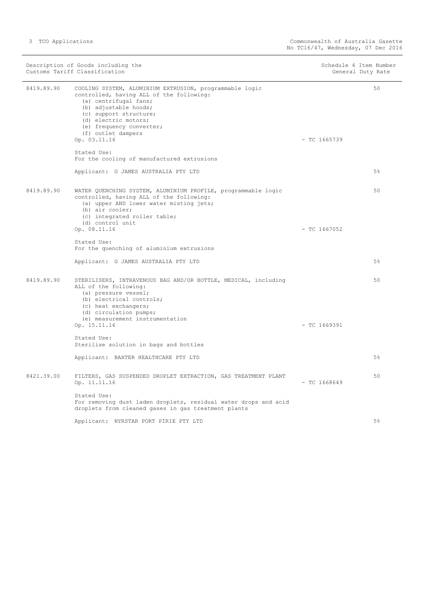| Description of Goods including the<br>Customs Tariff Classification |                                                                                                                                                                                                                                                                                          | Schedule 4 Item Number<br>General Duty Rate |                |
|---------------------------------------------------------------------|------------------------------------------------------------------------------------------------------------------------------------------------------------------------------------------------------------------------------------------------------------------------------------------|---------------------------------------------|----------------|
| 8419.89.90                                                          | COOLING SYSTEM, ALUMINIUM EXTRUSION, programmable logic<br>controlled, having ALL of the following:<br>(a) centrifugal fans;<br>(b) adjustable hoods;<br>(c) support structure;<br>(d) electric motors;<br>(e) frequency converter;<br>(f) outlet dampers<br>Op. 03.11.16<br>Stated Use: | $-$ TC 1665739                              | 50             |
|                                                                     | For the cooling of manufactured extrusions<br>Applicant: G JAMES AUSTRALIA PTY LTD                                                                                                                                                                                                       |                                             | 5%             |
| 8419.89.90                                                          | WATER QUENCHING SYSTEM, ALUMINIUM PROFILE, programmable logic<br>controlled, having ALL of the following:<br>(a) upper AND lower water misting jets;<br>(b) air cooler;<br>(c) integrated roller table;<br>(d) control unit<br>Op. 08.11.16                                              | $-$ TC 1667052                              | 50             |
|                                                                     | Stated Use:<br>For the quenching of aluminium extrusions                                                                                                                                                                                                                                 |                                             |                |
|                                                                     | Applicant: G JAMES AUSTRALIA PTY LTD                                                                                                                                                                                                                                                     |                                             | 5%             |
| 8419.89.90                                                          | STERILISERS, INTRAVENOUS BAG AND/OR BOTTLE, MEDICAL, including<br>ALL of the following:<br>(a) pressure vessel;<br>(b) electrical controls;<br>(c) heat exchangers;<br>(d) circulation pumps;<br>(e) measurement instrumentation                                                         |                                             | 50             |
|                                                                     | Op. 15.11.16                                                                                                                                                                                                                                                                             | $-$ TC 1669391                              |                |
|                                                                     | Stated Use:<br>Sterilise solution in bags and bottles                                                                                                                                                                                                                                    |                                             |                |
|                                                                     | Applicant: BAXTER HEALTHCARE PTY LTD                                                                                                                                                                                                                                                     |                                             | 5%             |
| 8421.39.00                                                          | FILTERS, GAS SUSPENDED DROPLET EXTRACTION, GAS TREATMENT PLANT<br>Op. 11.11.16                                                                                                                                                                                                           | $-$ TC 1668649                              | 50             |
|                                                                     | Stated Use:<br>For removing dust laden droplets, residual water drops and acid<br>droplets from cleaned gases in gas treatment plants                                                                                                                                                    |                                             |                |
|                                                                     | Applicant: NYRSTAR PORT PIRIE PTY LTD                                                                                                                                                                                                                                                    |                                             | 5 <sup>°</sup> |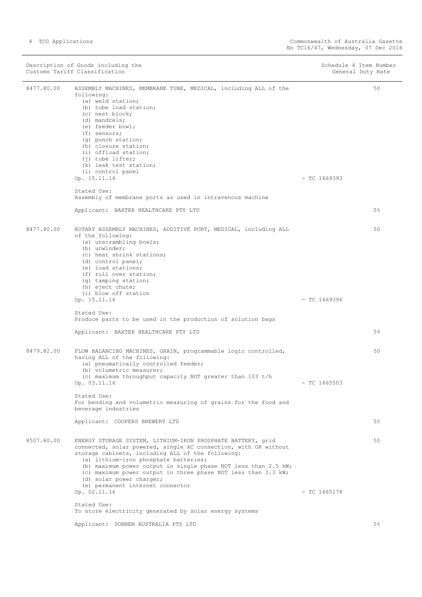Description of Goods including the Schedule 4 Item Number<br>
Customs Tariff Classification<br>
Schedule 4 Item Number Customs Tariff Classification 8477.80.00 ASSEMBLY MACHINES, MEMBRANE TUBE, MEDICAL, including ALL of the following: (a) weld station; (b) tube load station; (c) nest block; (d) mandrels; (e) feeder bowl; (f) sensors; (g) punch station; (h) closure station; (i) offload station; (j) tube lifter; (k) leak test station; (l) control panel Op. 15.11.16 - TC 1669393 Stated Use: Assembly of membrane ports as used in intravenous machine Applicant: BAXTER HEALTHCARE PTY LTD 50 5% 8477.80.00 ROTARY ASSEMBLY MACHINES, ADDITIVE PORT, MEDICAL, including ALL of the following: (a) unscrambling bowls; (b) unwinder; (c) heat shrink stations; (d) control panel; (e) load stations; (f) roll over station; (g) tamping station; (h) eject chute; (i) blow off station Op. 15.11.16 - TC 1669396 Stated Use: Produce parts to be used in the production of solution bags Applicant: BAXTER HEALTHCARE PTY LTD 50 5% 8479.82.00 FLOW BALANCING MACHINES, GRAIN, programmable logic controlled, having ALL of the following: (a) pneumatically controlled feeder; (b) volumetric measurer; (c) maximum throughput capacity NOT greater than 103 t/h Op. 03.11.16 - TC 1665503 Stated Use: For bending and volumetric measuring of grains for the food and beverage industries Applicant: COOPERS BREWERY LTD 50 5% 8507.80.00 ENERGY STORAGE SYSTEM, LITHIUM-IRON PHOSPHATE BATTERY, grid connected, solar powered, single AC connection, with OR without storage cabinets, including ALL of the following: (a) lithium-iron phosphate batteries; (b) maximum power output in single phase NOT less than 2.5 kW; (c) maximum power output in three phase NOT less than 3.3 kW; (d) solar power charger; (e) permanent internet connector  $Op. 02.11.16$  - TC 1665178 Stated Use: To store electricity generated by solar energy systems Applicant: SONNEN AUSTRALIA PTY LTD 50 5%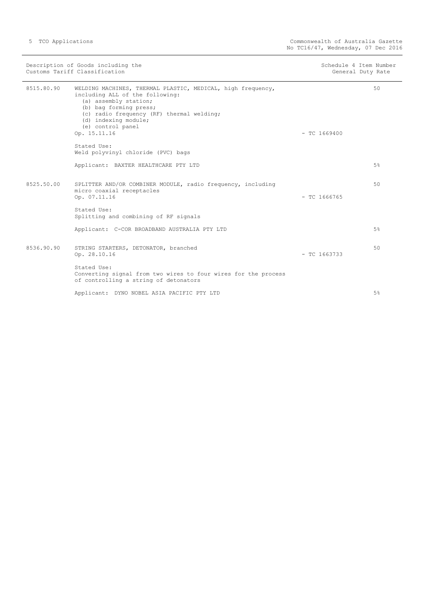| Description of Goods including the<br>Customs Tariff Classification |                                                                                                                                                                                                                                                             | Schedule 4 Item Number<br>General Duty Rate |    |
|---------------------------------------------------------------------|-------------------------------------------------------------------------------------------------------------------------------------------------------------------------------------------------------------------------------------------------------------|---------------------------------------------|----|
| 8515.80.90                                                          | WELDING MACHINES, THERMAL PLASTIC, MEDICAL, high frequency,<br>including ALL of the following:<br>(a) assembly station;<br>(b) bag forming press;<br>(c) radio frequency (RF) thermal welding;<br>(d) indexing module;<br>(e) control panel<br>Op. 15.11.16 | $-$ TC 1669400                              | 50 |
|                                                                     | Stated Use:<br>Weld polyvinyl chloride (PVC) bags                                                                                                                                                                                                           |                                             |    |
|                                                                     | Applicant: BAXTER HEALTHCARE PTY LTD                                                                                                                                                                                                                        |                                             | 5% |
| 8525.50.00                                                          | SPLITTER AND/OR COMBINER MODULE, radio frequency, including<br>micro coaxial receptacles<br>Op. 07.11.16                                                                                                                                                    | $-$ TC 1666765                              | 50 |
|                                                                     | Stated Use:<br>Splitting and combining of RF signals                                                                                                                                                                                                        |                                             |    |
|                                                                     | Applicant: C-COR BROADBAND AUSTRALIA PTY LTD                                                                                                                                                                                                                |                                             | 5% |
| 8536.90.90                                                          | STRING STARTERS, DETONATOR, branched<br>Op. 28.10.16                                                                                                                                                                                                        | $-$ TC 1663733                              | 50 |
|                                                                     | Stated Use:<br>Converting signal from two wires to four wires for the process<br>of controlling a string of detonators                                                                                                                                      |                                             |    |
|                                                                     | Applicant: DYNO NOBEL ASIA PACIFIC PTY LTD                                                                                                                                                                                                                  |                                             | 5% |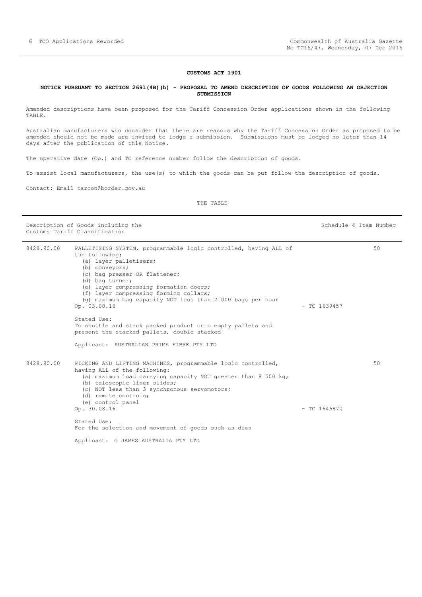#### **CUSTOMS ACT 1901**

#### <span id="page-5-0"></span>**NOTICE PURSUANT TO SECTION 269l(4B)(b) - PROPOSAL TO AMEND DESCRIPTION OF GOODS FOLLOWING AN OBJECTION SUBMISSION**

Amended descriptions have been proposed for the Tariff Concession Order applications shown in the following TABLE.

Australian manufacturers who consider that there are reasons why the Tariff Concession Order as proposed to be amended should not be made are invited to lodge a submission. Submissions must be lodged no later than 14 days after the publication of this Notice.

The operative date (Op.) and TC reference number follow the description of goods.

To assist local manufacturers, the use(s) to which the goods can be put follow the description of goods.

Contact: Email tarcon@border.gov.au

THE TABLE

Description of Goods including the Schedule 4 Item Number Customs Tariff Classification

| 8428.90.00 | PALLETISING SYSTEM, programmable logic controlled, having ALL of<br>the following:<br>(a) layer palletisers;<br>(b) conveyors;<br>(c) bag presser OR flattener;<br>(d) bag turner;<br>(e) layer compressing formation doors;<br>(f) layer compressing forming collars;<br>(q) maximum bag capacity NOT less than 2 000 bags per hour<br>Op. 03.08.16 | $-$ TC 1639457 | 50 |
|------------|------------------------------------------------------------------------------------------------------------------------------------------------------------------------------------------------------------------------------------------------------------------------------------------------------------------------------------------------------|----------------|----|
|            | Stated Use:<br>To shuttle and stack packed product onto empty pallets and<br>present the stacked pallets, double stacked<br>Applicant: AUSTRALIAN PRIME FIBRE PTY LTD                                                                                                                                                                                |                |    |
| 8428.90.00 | PICKING AND LIFTING MACHINES, programmable logic controlled,<br>having ALL of the following:<br>(a) maximum load carrying capacity NOT greater than 8 500 kg;<br>(b) telescopic liner slides;<br>(c) NOT less than 3 synchronous servomotors;<br>(d) remote controls;<br>(e) control panel<br>Op. 30.08.16                                           | $-$ TC 1646870 | 50 |
|            | Stated Use:<br>For the selection and movement of goods such as dies                                                                                                                                                                                                                                                                                  |                |    |
|            | Applicant: G JAMES AUSTRALIA PTY LTD                                                                                                                                                                                                                                                                                                                 |                |    |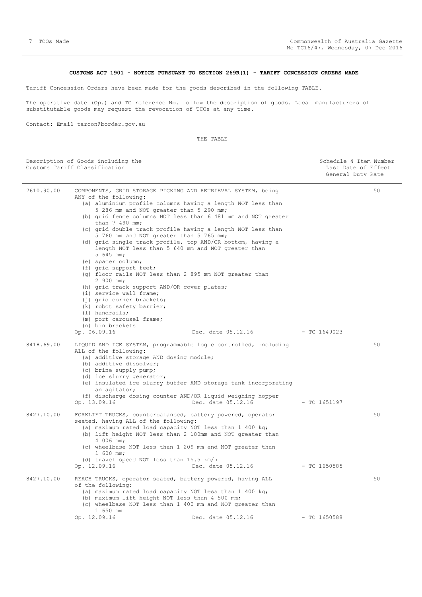### **CUSTOMS ACT 1901 - NOTICE PURSUANT TO SECTION 269R(1) - TARIFF CONCESSION ORDERS MADE**

<span id="page-6-0"></span>Tariff Concession Orders have been made for the goods described in the following TABLE.

The operative date (Op.) and TC reference No. follow the description of goods. Local manufacturers of substitutable goods may request the revocation of TCOs at any time.

Contact: Email tarcon@border.gov.au

THE TABLE

| Description of Goods including the<br>Customs Tariff Classification |                                                                                                                                                                                                                                                                                                                                                                                                                                                                                                                                                                                                                                                                                                                                                                                                                                                                                  | Schedule 4 Item Number<br>Last Date of Effect<br>General Duty Rate |                |    |
|---------------------------------------------------------------------|----------------------------------------------------------------------------------------------------------------------------------------------------------------------------------------------------------------------------------------------------------------------------------------------------------------------------------------------------------------------------------------------------------------------------------------------------------------------------------------------------------------------------------------------------------------------------------------------------------------------------------------------------------------------------------------------------------------------------------------------------------------------------------------------------------------------------------------------------------------------------------|--------------------------------------------------------------------|----------------|----|
| 7610.90.00                                                          | COMPONENTS, GRID STORAGE PICKING AND RETRIEVAL SYSTEM, being<br>ANY of the following:<br>(a) aluminium profile columns having a length NOT less than<br>5 286 mm and NOT greater than 5 290 mm;<br>(b) grid fence columns NOT less than 6 481 mm and NOT greater<br>than 7 490 mm;<br>(c) grid double track profile having a length NOT less than<br>5 760 mm and NOT greater than 5 765 mm;<br>(d) grid single track profile, top AND/OR bottom, having a<br>length NOT less than 5 640 mm and NOT greater than<br>$5, 645$ mm;<br>(e) spacer column;<br>(f) grid support feet;<br>(q) floor rails NOT less than 2 895 mm NOT greater than<br>2 900 mm;<br>(h) grid track support AND/OR cover plates;<br>(i) service wall frame;<br>(j) grid corner brackets;<br>(k) robot safety barrier;<br>$(1)$ handrails;<br>(m) port carousel frame;<br>(n) bin brackets<br>Op. 06.09.16 | Dec. date 05.12.16 - TC 1649023                                    |                | 50 |
| 8418.69.00                                                          | LIQUID AND ICE SYSTEM, programmable logic controlled, including<br>ALL of the following:<br>(a) additive storage AND dosing module;<br>(b) additive dissolver;<br>(c) brine supply pump;<br>(d) ice slurry generator;<br>(e) insulated ice slurry buffer AND storage tank incorporating<br>an agitator;<br>(f) discharge dosing counter AND/OR liquid weighing hopper<br>Op. 13.09.16                                                                                                                                                                                                                                                                                                                                                                                                                                                                                            | Dec. date 05.12.16                                                 | $-$ TC 1651197 | 50 |
| 8427.10.00                                                          | FORKLIFT TRUCKS, counterbalanced, battery powered, operator<br>seated, having ALL of the following:<br>(a) maximum rated load capacity NOT less than 1 400 kg;<br>(b) lift height NOT less than 2 180mm and NOT greater than<br>4 006 mm;<br>(c) wheelbase NOT less than 1 209 mm and NOT greater than<br>$1\,600\,$ mm;<br>(d) travel speed NOT less than 15.5 km/h<br>Op. 12.09.16                                                                                                                                                                                                                                                                                                                                                                                                                                                                                             | Dec. date 05.12.16                                                 | - TC 1650585   | 50 |
| 8427.10.00                                                          | REACH TRUCKS, operator seated, battery powered, having ALL<br>of the following:<br>(a) maximum rated load capacity NOT less than 1 400 kg;<br>(b) maximum lift height NOT less than 4 500 mm;<br>(c) wheelbase NOT less than 1 400 mm and NOT greater than<br>1 650 mm<br>Op. 12.09.16                                                                                                                                                                                                                                                                                                                                                                                                                                                                                                                                                                                           | Dec. date 05.12.16                                                 | $-$ TC 1650588 | 50 |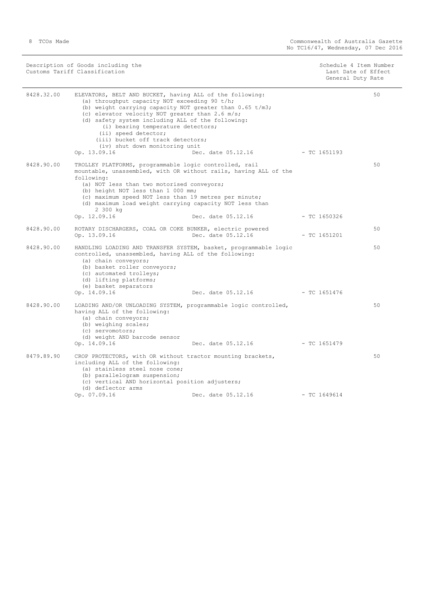| Description of Goods including the | Schedule 4 Item Number |
|------------------------------------|------------------------|
| Customs Tariff Classification      | Last Date of Effect    |
|                                    | General Duty Rate      |
|                                    |                        |

| 8428.32.00 | ELEVATORS, BELT AND BUCKET, having ALL of the following:<br>(a) throughput capacity NOT exceeding 90 t/h;<br>(b) weight carrying capacity NOT greater than $0.65 \text{ t/m3}$ ;<br>(c) elevator velocity NOT greater than 2.6 m/s;<br>(d) safety system including ALL of the following:<br>(i) bearing temperature detectors;<br>(ii) speed detector;<br>(iii) bucket off track detectors;<br>(iv) shut down monitoring unit<br>Op. 13.09.16 | Dec. date 05.12.16              | $-TC1651193$   | 50 |
|------------|-----------------------------------------------------------------------------------------------------------------------------------------------------------------------------------------------------------------------------------------------------------------------------------------------------------------------------------------------------------------------------------------------------------------------------------------------|---------------------------------|----------------|----|
| 8428.90.00 | TROLLEY PLATFORMS, programmable logic controlled, rail<br>mountable, unassembled, with OR without rails, having ALL of the<br>following:<br>(a) NOT less than two motorised conveyors;<br>(b) height NOT less than 1 000 mm;<br>(c) maximum speed NOT less than 19 metres per minute;<br>(d) maximum load weight carrying capacity NOT less than<br>2 300 kg<br>Op. 12.09.16                                                                  | Dec. date 05.12.16              | $-$ TC 1650326 | 50 |
| 8428.90.00 | ROTARY DISCHARGERS, COAL OR COKE BUNKER, electric powered<br>Op. 13.09.16                                                                                                                                                                                                                                                                                                                                                                     | Dec. date 05.12.16              | $-$ TC 1651201 | 50 |
| 8428.90.00 | HANDLING LOADING AND TRANSFER SYSTEM, basket, programmable logic<br>controlled, unassembled, having ALL of the following:<br>(a) chain conveyors;<br>(b) basket roller conveyors;<br>(c) automated trolleys;<br>(d) lifting platforms;<br>(e) basket separators                                                                                                                                                                               |                                 |                | 50 |
|            | Op. 14.09.16                                                                                                                                                                                                                                                                                                                                                                                                                                  | Dec. date 05.12.16 - TC 1651476 |                |    |
| 8428.90.00 | LOADING AND/OR UNLOADING SYSTEM, programmable logic controlled,<br>having ALL of the following:<br>(a) chain conveyors;<br>(b) weighing scales;<br>(c) servomotors;<br>(d) weight AND barcode sensor                                                                                                                                                                                                                                          |                                 |                | 50 |
|            | Op. 14.09.16                                                                                                                                                                                                                                                                                                                                                                                                                                  | Dec. date 05.12.16 - TC 1651479 |                |    |
| 8479.89.90 | CROP PROTECTORS, with OR without tractor mounting brackets,<br>including ALL of the following:<br>(a) stainless steel nose cone;<br>(b) parallelogram suspension;<br>(c) vertical AND horizontal position adjusters;<br>(d) deflector arms                                                                                                                                                                                                    | Dec. date 05.12.16              | $-$ TC 1649614 | 50 |
|            | Op. 07.09.16                                                                                                                                                                                                                                                                                                                                                                                                                                  |                                 |                |    |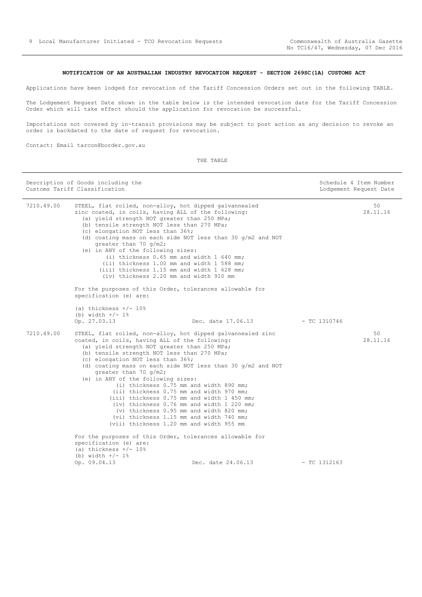### **NOTIFICATION OF AN AUSTRALIAN INDUSTRY REVOCATION REQUEST - SECTION 269SC(1A) CUSTOMS ACT**

<span id="page-8-0"></span>Applications have been lodged for revocation of the Tariff Concession Orders set out in the following TABLE.

The Lodgement Request Date shown in the table below is the intended revocation date for the Tariff Concession Order which will take effect should the application for revocation be successful.

Importations not covered by in-transit provisions may be subject to post action as any decision to revoke an order is backdated to the date of request for revocation.

Contact: Email tarcon@border.gov.au

THE TABLE

| Description of Goods including the<br>Customs Tariff Classification |                                                                                                                                                                                                                                                                                                                                                                                                                                                                                                       | Schedule 4 Item Number<br>Lodgement Request Date                                                                                                                                                                                                                                                                                         |                |                |
|---------------------------------------------------------------------|-------------------------------------------------------------------------------------------------------------------------------------------------------------------------------------------------------------------------------------------------------------------------------------------------------------------------------------------------------------------------------------------------------------------------------------------------------------------------------------------------------|------------------------------------------------------------------------------------------------------------------------------------------------------------------------------------------------------------------------------------------------------------------------------------------------------------------------------------------|----------------|----------------|
| 7210.49.00                                                          | STEEL, flat rolled, non-alloy, hot dipped galvannealed<br>zinc coated, in coils, having ALL of the following:<br>(a) yield strength NOT greater than 250 MPa;<br>(b) tensile strength NOT less than 270 MPa;<br>(c) elongation NOT less than 36%;<br>qreater than 70 q/m2;<br>(e) in ANY of the following sizes:<br>(i) thickness 0.65 mm and width 1 640 mm;<br>(ii) thickness 1.00 mm and width 1 588 mm;<br>(iii) thickness 1.15 mm and width 1 628 mm;<br>(iv) thickness 2.20 mm and width 910 mm | (d) coating mass on each side NOT less than 30 $q/m2$ and NOT                                                                                                                                                                                                                                                                            |                | 50<br>28.11.16 |
|                                                                     | For the purposes of this Order, tolerances allowable for<br>specification (e) are:                                                                                                                                                                                                                                                                                                                                                                                                                    |                                                                                                                                                                                                                                                                                                                                          |                |                |
|                                                                     | (a) thickness $+/- 10\%$<br>(b) width $+/- 1$ %<br>Op. 27.03.13                                                                                                                                                                                                                                                                                                                                                                                                                                       | Dec. date 17.06.13                                                                                                                                                                                                                                                                                                                       | $-$ TC 1310746 |                |
| 7210.49.00                                                          | STEEL, flat rolled, non-alloy, hot dipped galvannealed zinc<br>coated, in coils, having ALL of the following:<br>(a) yield strength NOT greater than 250 MPa;<br>(b) tensile strength NOT less than 270 MPa;<br>(c) elongation NOT less than 36%;<br>qreater than 70 $q/m2$ ;<br>(e) in ANY of the following sizes:<br>(vii) thickness 1.20 mm and width 955 mm                                                                                                                                       | (d) coating mass on each side NOT less than 30 $q/m2$ and NOT<br>(i) thickness 0.75 mm and width 890 mm;<br>(ii) thickness 0.75 mm and width 970 mm;<br>(iii) thickness 0.75 mm and width 1 450 mm;<br>(iv) thickness 0.76 mm and width 1 220 mm;<br>(v) thickness 0.95 mm and width 820 mm;<br>(vi) thickness 1.15 mm and width 740 mm; |                | 50<br>28.11.16 |
|                                                                     | For the purposes of this Order, tolerances allowable for<br>specification (e) are:<br>(a) thickness $+/- 10%$<br>(b) width $+/- 1$ %<br>Op. 09.04.13                                                                                                                                                                                                                                                                                                                                                  | Dec. date 24.06.13                                                                                                                                                                                                                                                                                                                       | $-$ TC 1312163 |                |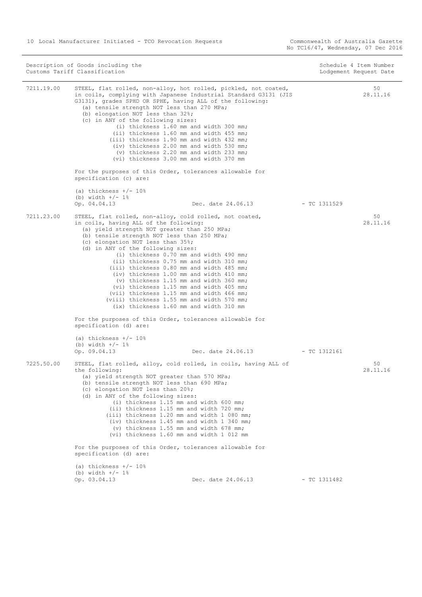Commonwealth of Australia Gazette<br>No TC16/47, Wednesday, 07 Dec 2016

| Description of Goods including the<br>Customs Tariff Classification |                                                                                                                                                                                                                                                                                                                                                                                                                                                                                                                                                                                                                                                                                          |                    | Schedule 4 Item Number<br>Lodgement Request Date |                |
|---------------------------------------------------------------------|------------------------------------------------------------------------------------------------------------------------------------------------------------------------------------------------------------------------------------------------------------------------------------------------------------------------------------------------------------------------------------------------------------------------------------------------------------------------------------------------------------------------------------------------------------------------------------------------------------------------------------------------------------------------------------------|--------------------|--------------------------------------------------|----------------|
| 7211.19.00                                                          | STEEL, flat rolled, non-alloy, hot rolled, pickled, not coated,<br>in coils, complying with Japanese Industrial Standard G3131 (JIS<br>G3131), grades SPHD OR SPHE, having ALL of the following:<br>(a) tensile strength NOT less than 270 MPa;<br>(b) elongation NOT less than 32%;<br>(c) in ANY of the following sizes:<br>(i) thickness 1.60 mm and width 300 mm;<br>(ii) thickness 1.60 mm and width 455 mm;<br>(iii) thickness 1.90 mm and width 432 mm;<br>(iv) thickness 2.00 mm and width 530 mm;<br>(v) thickness 2.20 mm and width 233 mm;<br>(vi) thickness 3.00 mm and width 370 mm                                                                                         |                    |                                                  | 50<br>28.11.16 |
|                                                                     | For the purposes of this Order, tolerances allowable for<br>specification (c) are:                                                                                                                                                                                                                                                                                                                                                                                                                                                                                                                                                                                                       |                    |                                                  |                |
|                                                                     | (a) thickness $+/- 10%$<br>(b) width $+/- 1$ %<br>Op. 04.04.13                                                                                                                                                                                                                                                                                                                                                                                                                                                                                                                                                                                                                           | Dec. date 24.06.13 | - TC 1311529                                     |                |
| 7211.23.00                                                          | STEEL, flat rolled, non-alloy, cold rolled, not coated,<br>in coils, having ALL of the following:<br>(a) yield strength NOT greater than 250 MPa;<br>(b) tensile strength NOT less than 250 MPa;<br>(c) elongation NOT less than 35%;<br>(d) in ANY of the following sizes:<br>(i) thickness 0.70 mm and width 490 mm;<br>(ii) thickness 0.75 mm and width 310 mm;<br>(iii) thickness 0.80 mm and width 485 mm;<br>(iv) thickness 1.00 mm and width 410 mm;<br>(v) thickness 1.15 mm and width 360 mm;<br>(vi) thickness 1.15 mm and width 405 mm;<br>(vii) thickness 1.15 mm and width 466 mm;<br>(viii) thickness 1.55 mm and width 570 mm;<br>(ix) thickness 1.60 mm and width 310 mm |                    |                                                  | 50<br>28.11.16 |
|                                                                     | For the purposes of this Order, tolerances allowable for<br>specification (d) are:                                                                                                                                                                                                                                                                                                                                                                                                                                                                                                                                                                                                       |                    |                                                  |                |
|                                                                     | (a) thickness $+/- 10\%$<br>(b) width $+/- 1$ %<br>Op. 09.04.13                                                                                                                                                                                                                                                                                                                                                                                                                                                                                                                                                                                                                          | Dec. date 24.06.13 | $-$ TC 1312161                                   |                |
| 7225.50.00                                                          | STEEL, flat rolled, alloy, cold rolled, in coils, having ALL of<br>the following:<br>(a) yield strength NOT greater than 570 MPa;<br>(b) tensile strength NOT less than 690 MPa;<br>(c) elongation NOT less than 20%;<br>(d) in ANY of the following sizes:<br>(i) thickness 1.15 mm and width 600 mm;<br>(ii) thickness 1.15 mm and width 720 mm;<br>(iii) thickness 1.20 mm and width 1 080 mm;<br>(iv) thickness 1.45 mm and width 1 340 mm;<br>(v) thickness 1.55 mm and width 678 mm;<br>(vi) thickness 1.60 mm and width 1 012 mm                                                                                                                                                  |                    |                                                  | 50<br>28.11.16 |
|                                                                     | For the purposes of this Order, tolerances allowable for<br>specification (d) are:                                                                                                                                                                                                                                                                                                                                                                                                                                                                                                                                                                                                       |                    |                                                  |                |
|                                                                     | (a) thickness $+/- 10%$<br>(b) width $+/- 1$ %<br>Op. 03.04.13                                                                                                                                                                                                                                                                                                                                                                                                                                                                                                                                                                                                                           | Dec. date 24.06.13 | $-$ TC 1311482                                   |                |